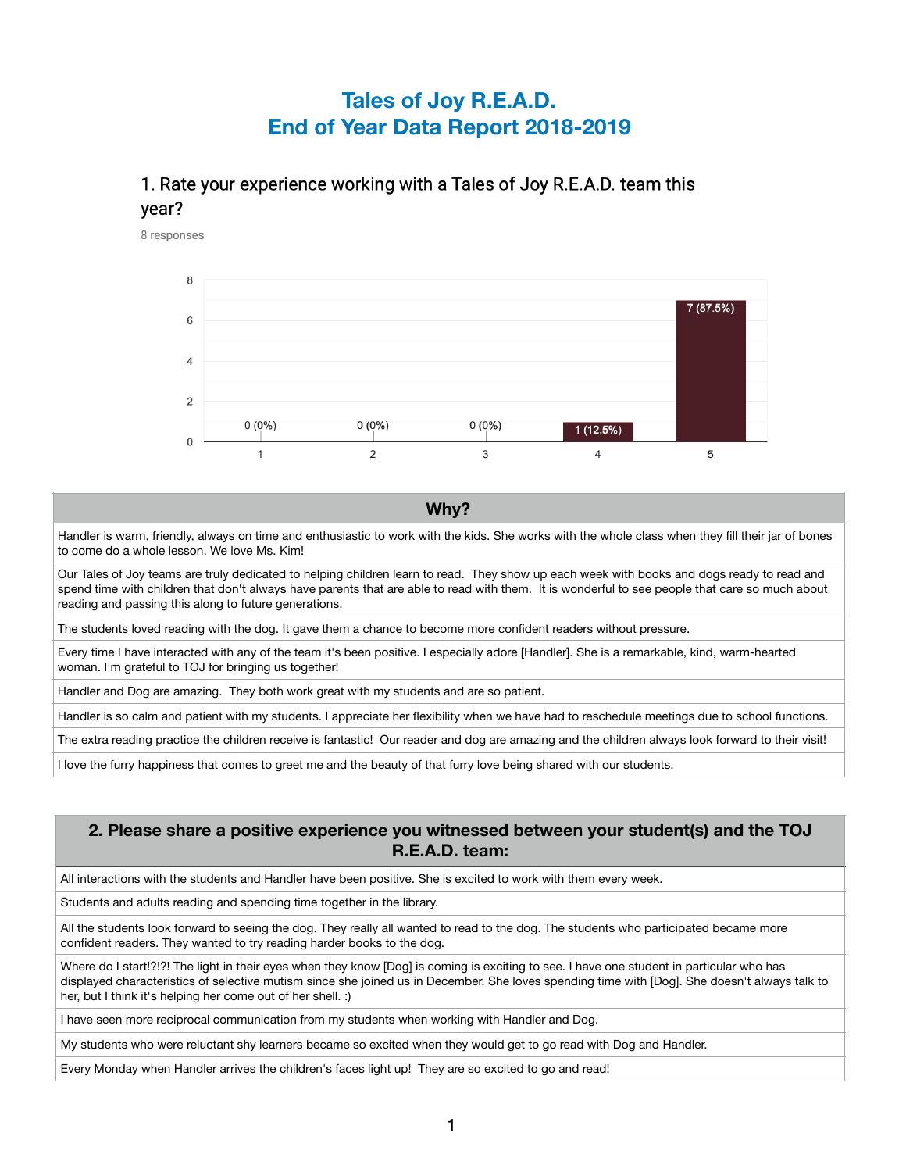# **Tales of Joy R.E.A.D. End of Year Data Report 2018-2019**

## 1. Rate your experience working with a Tales of Joy R.E.A.D. team this year?

8 responses



#### **Why?**

Handler is warm, friendly, always on time and enthusiastic to work with the kids. She works with the whole class when they fill their jar of bones to come do a whole lesson. We love Ms. Kim!

Our Tales of Joy teams are truly dedicated to helping children learn to read. They show up each week with books and dogs ready to read and spend time with children that don't always have parents that are able to read with them. It is wonderful to see people that care so much about reading and passing this along to future generations.

The students loved reading with the dog. It gave them a chance to become more confident readers without pressure.

Every time I have interacted with any of the team it's been positive. I especially adore [Handler]. She is a remarkable, kind, warm-hearted woman. I'm grateful to TOJ for bringing us together!

Handler and Dog are amazing. They both work great with my students and are so patient.

Handler is so calm and patient with my students. I appreciate her flexibility when we have had to reschedule meetings due to school functions.

The extra reading practice the children receive is fantastic! Our reader and dog are amazing and the children always look forward to their visit!

I love the furry happiness that comes to greet me and the beauty of that furry love being shared with our students.

#### **2. Please share a positive experience you witnessed between your student(s) and the TOJ R.E.A.D. team:**

All interactions with the students and Handler have been positive. She is excited to work with them every week.

Students and adults reading and spending time together in the library.

All the students look forward to seeing the dog. They really all wanted to read to the dog. The students who participated became more confident readers. They wanted to try reading harder books to the dog.

Where do I start!?!?! The light in their eyes when they know [Dog] is coming is exciting to see. I have one student in particular who has displayed characteristics of selective mutism since she joined us in December. She loves spending time with [Dog]. She doesn't always talk to her, but I think it's helping her come out of her shell. :)

I have seen more reciprocal communication from my students when working with Handler and Dog.

My students who were reluctant shy learners became so excited when they would get to go read with Dog and Handler.

Every Monday when Handler arrives the children's faces light up! They are so excited to go and read!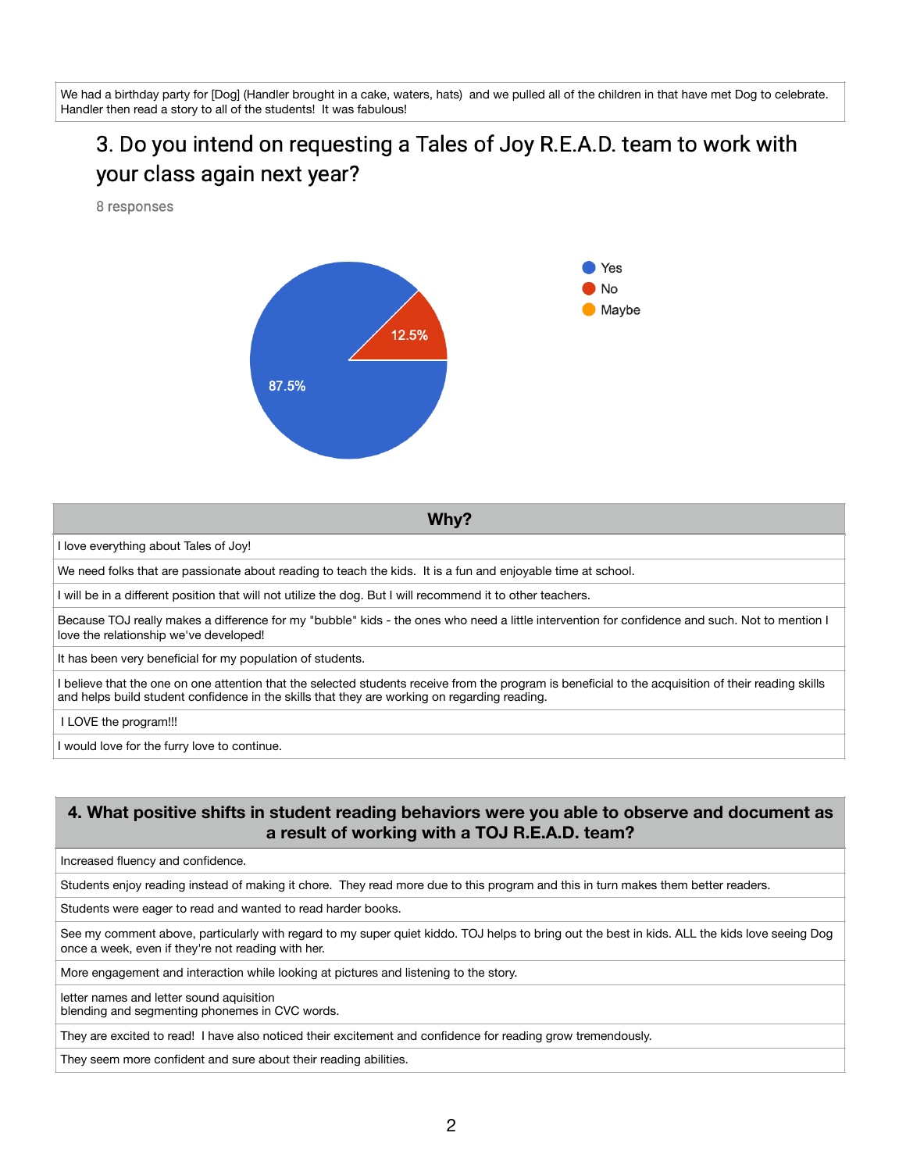We had a birthday party for [Dog] (Handler brought in a cake, waters, hats) and we pulled all of the children in that have met Dog to celebrate. Handler then read a story to all of the students! It was fabulous!

# 3. Do you intend on requesting a Tales of Joy R.E.A.D. team to work with your class again next year?

8 responses



**Why?**

I love everything about Tales of Joy!

We need folks that are passionate about reading to teach the kids. It is a fun and enjoyable time at school.

I will be in a different position that will not utilize the dog. But I will recommend it to other teachers.

Because TOJ really makes a difference for my "bubble" kids - the ones who need a little intervention for confidence and such. Not to mention I love the relationship we've developed!

It has been very beneficial for my population of students.

I believe that the one on one attention that the selected students receive from the program is beneficial to the acquisition of their reading skills and helps build student confidence in the skills that they are working on regarding reading.

I LOVE the program!!!

I would love for the furry love to continue.

## **4. What positive shifts in student reading behaviors were you able to observe and document as a result of working with a TOJ R.E.A.D. team?**

Increased fluency and confidence.

Students enjoy reading instead of making it chore. They read more due to this program and this in turn makes them better readers.

Students were eager to read and wanted to read harder books.

See my comment above, particularly with regard to my super quiet kiddo. TOJ helps to bring out the best in kids. ALL the kids love seeing Dog once a week, even if they're not reading with her.

More engagement and interaction while looking at pictures and listening to the story.

letter names and letter sound aquisition blending and segmenting phonemes in CVC words.

They are excited to read! I have also noticed their excitement and confidence for reading grow tremendously.

They seem more confident and sure about their reading abilities.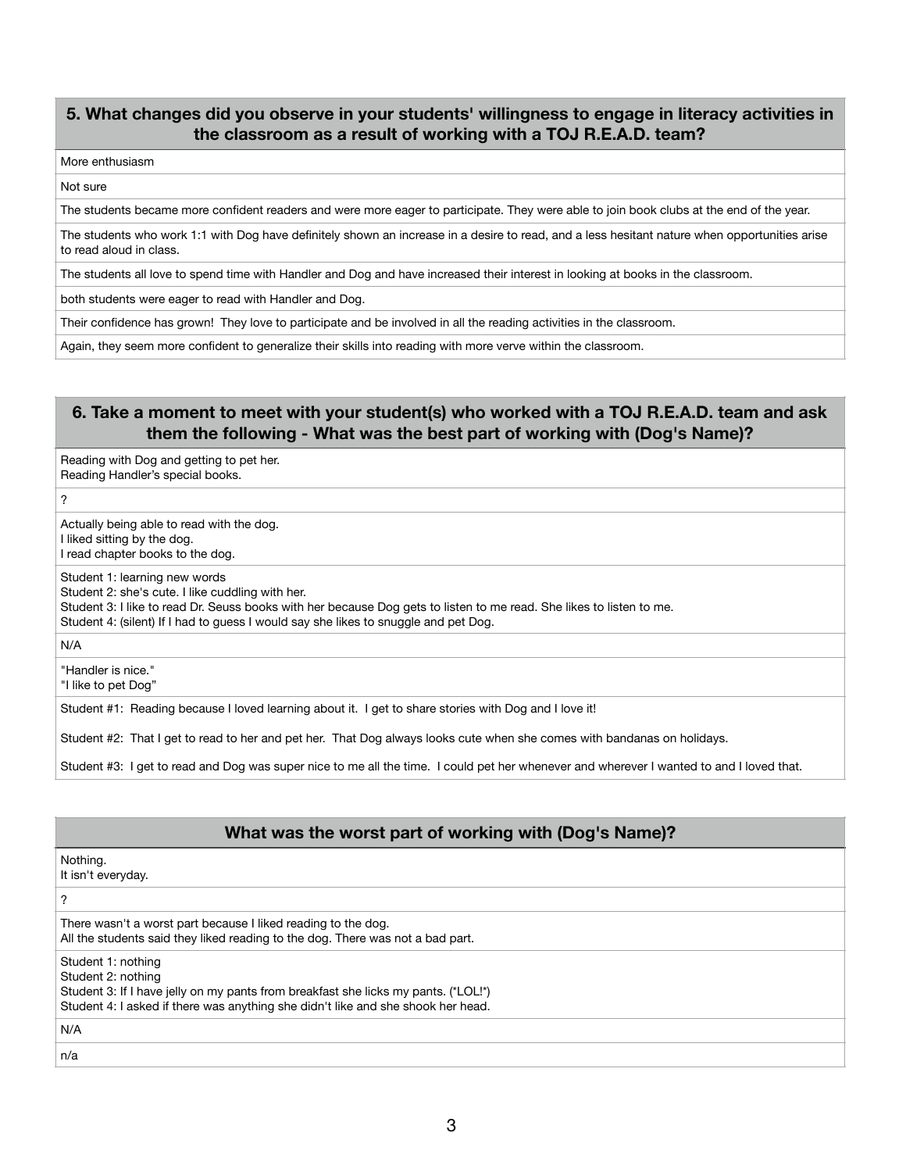### **5. What changes did you observe in your students' willingness to engage in literacy activities in the classroom as a result of working with a TOJ R.E.A.D. team?**

#### More enthusiasm

#### Not sure

The students became more confident readers and were more eager to participate. They were able to join book clubs at the end of the year.

The students who work 1:1 with Dog have definitely shown an increase in a desire to read, and a less hesitant nature when opportunities arise to read aloud in class.

The students all love to spend time with Handler and Dog and have increased their interest in looking at books in the classroom.

both students were eager to read with Handler and Dog.

Their confidence has grown! They love to participate and be involved in all the reading activities in the classroom.

Again, they seem more confident to generalize their skills into reading with more verve within the classroom.

### **6. Take a moment to meet with your student(s) who worked with a TOJ R.E.A.D. team and ask them the following - What was the best part of working with (Dog's Name)?**

Reading with Dog and getting to pet her. Reading Handler's special books.

?

Actually being able to read with the dog. I liked sitting by the dog. I read chapter books to the dog.

Student 1: learning new words

Student 2: she's cute. I like cuddling with her.

Student 3: I like to read Dr. Seuss books with her because Dog gets to listen to me read. She likes to listen to me. Student 4: (silent) If I had to guess I would say she likes to snuggle and pet Dog.

N/A

"Handler is nice." "I like to pet Dog"

Student #1: Reading because I loved learning about it. I get to share stories with Dog and I love it!

Student #2: That I get to read to her and pet her. That Dog always looks cute when she comes with bandanas on holidays.

Student #3: I get to read and Dog was super nice to me all the time. I could pet her whenever and wherever I wanted to and I loved that.

#### **What was the worst part of working with (Dog's Name)?**

Nothing.

It isn't everyday.

?

There wasn't a worst part because I liked reading to the dog. All the students said they liked reading to the dog. There was not a bad part.

Student 1: nothing Student 2: nothing

Student 3: If I have jelly on my pants from breakfast she licks my pants. (\*LOL!\*) Student 4: I asked if there was anything she didn't like and she shook her head.

N/A

n/a